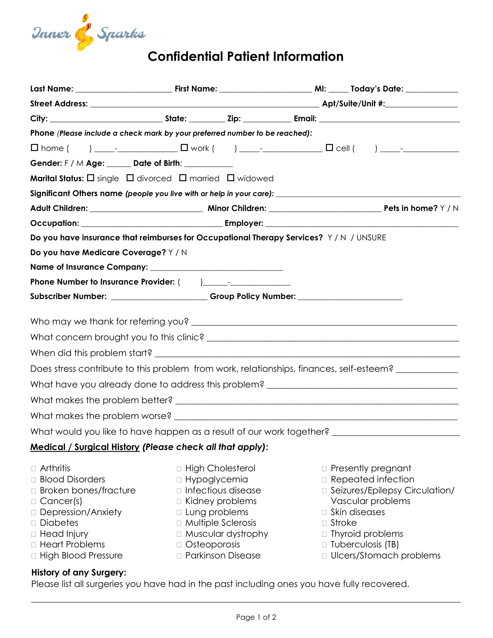

| Phone (Please include a check mark by your preferred number to be reached):                                                                                                         |  |                                                                                                                                                                                                       |  |                                                                                                                                                                                                                     |  |  |  |
|-------------------------------------------------------------------------------------------------------------------------------------------------------------------------------------|--|-------------------------------------------------------------------------------------------------------------------------------------------------------------------------------------------------------|--|---------------------------------------------------------------------------------------------------------------------------------------------------------------------------------------------------------------------|--|--|--|
|                                                                                                                                                                                     |  |                                                                                                                                                                                                       |  |                                                                                                                                                                                                                     |  |  |  |
| Gender: F / M Age: _____ Date of Birth: _________                                                                                                                                   |  |                                                                                                                                                                                                       |  |                                                                                                                                                                                                                     |  |  |  |
| <b>Marital Status:</b> $\Box$ single $\Box$ divorced $\Box$ married $\Box$ widowed                                                                                                  |  |                                                                                                                                                                                                       |  |                                                                                                                                                                                                                     |  |  |  |
| Significant Others name (people you live with or help in your care): ______________________________                                                                                 |  |                                                                                                                                                                                                       |  |                                                                                                                                                                                                                     |  |  |  |
|                                                                                                                                                                                     |  |                                                                                                                                                                                                       |  |                                                                                                                                                                                                                     |  |  |  |
|                                                                                                                                                                                     |  |                                                                                                                                                                                                       |  |                                                                                                                                                                                                                     |  |  |  |
| Do you have insurance that reimburses for Occupational Therapy Services? Y/N / UNSURE                                                                                               |  |                                                                                                                                                                                                       |  |                                                                                                                                                                                                                     |  |  |  |
| Do you have Medicare Coverage? Y / N                                                                                                                                                |  |                                                                                                                                                                                                       |  |                                                                                                                                                                                                                     |  |  |  |
|                                                                                                                                                                                     |  |                                                                                                                                                                                                       |  |                                                                                                                                                                                                                     |  |  |  |
|                                                                                                                                                                                     |  |                                                                                                                                                                                                       |  |                                                                                                                                                                                                                     |  |  |  |
| Subscriber Number: _______________________Group Policy Number: _________________                                                                                                    |  |                                                                                                                                                                                                       |  |                                                                                                                                                                                                                     |  |  |  |
|                                                                                                                                                                                     |  |                                                                                                                                                                                                       |  |                                                                                                                                                                                                                     |  |  |  |
|                                                                                                                                                                                     |  |                                                                                                                                                                                                       |  |                                                                                                                                                                                                                     |  |  |  |
|                                                                                                                                                                                     |  |                                                                                                                                                                                                       |  |                                                                                                                                                                                                                     |  |  |  |
| Does stress contribute to this problem from work, relationships, finances, self-esteem?                                                                                             |  |                                                                                                                                                                                                       |  |                                                                                                                                                                                                                     |  |  |  |
| What have you already done to address this problem? _____________________________                                                                                                   |  |                                                                                                                                                                                                       |  |                                                                                                                                                                                                                     |  |  |  |
|                                                                                                                                                                                     |  |                                                                                                                                                                                                       |  |                                                                                                                                                                                                                     |  |  |  |
|                                                                                                                                                                                     |  |                                                                                                                                                                                                       |  |                                                                                                                                                                                                                     |  |  |  |
|                                                                                                                                                                                     |  |                                                                                                                                                                                                       |  |                                                                                                                                                                                                                     |  |  |  |
| What would you like to have happen as a result of our work together? _______________________________                                                                                |  |                                                                                                                                                                                                       |  |                                                                                                                                                                                                                     |  |  |  |
| <u> Medical / Surgical History</u> (Please check all that apply):                                                                                                                   |  |                                                                                                                                                                                                       |  |                                                                                                                                                                                                                     |  |  |  |
| □ Arthritis<br>□ Blood Disorders<br>□ Broken bones/fracture<br>$\Box$ Cancer(s)<br>□ Depression/Anxiety<br>□ Diabetes<br>□ Head Injury<br>□ Heart Problems<br>□ High Blood Pressure |  | □ High Cholesterol<br>Hypoglycemia<br>□ Infectious disease<br>Kidney problems<br>□ Lung problems<br>□ Multiple Sclerosis<br>□ Muscular dystrophy<br>$\Box$ Osteoporosis<br><b>D</b> Parkinson Disease |  | □ Presently pregnant<br>□ Repeated infection<br>□ Seizures/Epilepsy Circulation/<br>Vascular problems<br>□ Skin diseases<br>$\Box$ Stroke<br>□ Thyroid problems<br>□ Tuberculosis (TB)<br>□ Ulcers/Stomach problems |  |  |  |
| <b>History of any Surgery:</b>                                                                                                                                                      |  |                                                                                                                                                                                                       |  |                                                                                                                                                                                                                     |  |  |  |

Please list all surgeries you have had in the past including ones you have fully recovered.

 $\_$  , and the contribution of the contribution of the contribution of the contribution of  $\mathcal{L}_\mathbf{u}$